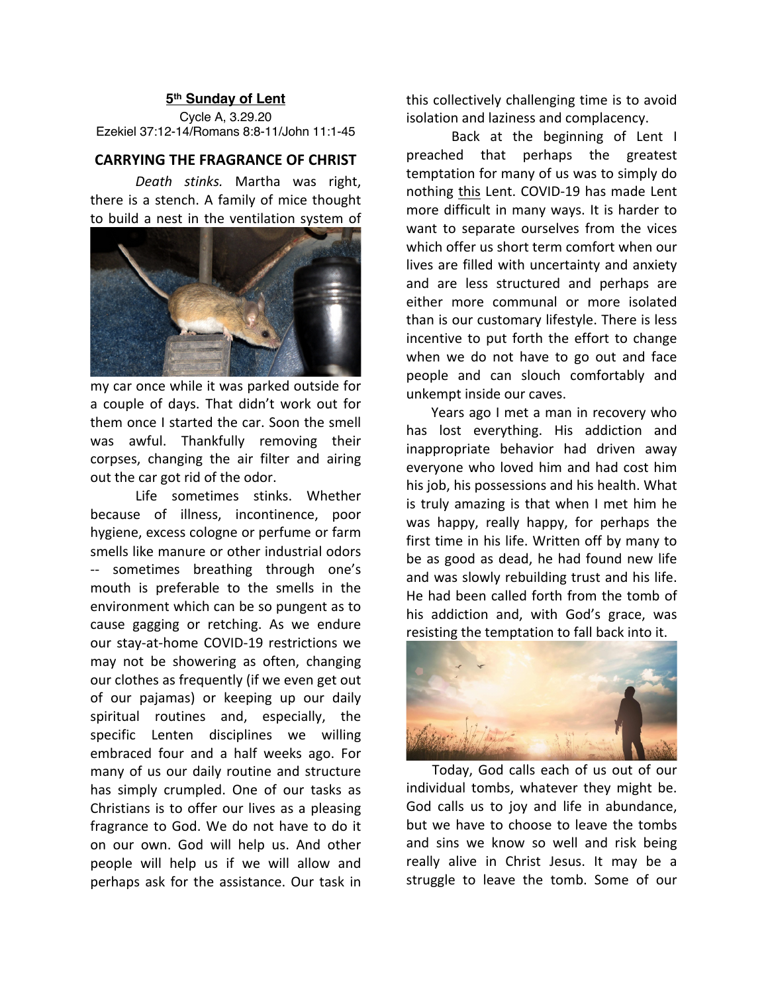## **5th Sunday of Lent**

Cycle A, 3.29.20 Ezekiel 37:12-14/Romans 8:8-11/John 11:1-45

## **CARRYING THE FRAGRANCE OF CHRIST**

*Death stinks.* Martha was right, there is a stench. A family of mice thought to build a nest in the ventilation system of



my car once while it was parked outside for a couple of days. That didn't work out for them once I started the car. Soon the smell was awful. Thankfully removing their corpses, changing the air filter and airing out the car got rid of the odor.

Life sometimes stinks. Whether because of illness, incontinence, poor hygiene, excess cologne or perfume or farm smells like manure or other industrial odors -- sometimes breathing through one's mouth is preferable to the smells in the environment which can be so pungent as to cause gagging or retching. As we endure our stay-at-home COVID-19 restrictions we may not be showering as often, changing our clothes as frequently (if we even get out of our pajamas) or keeping up our daily spiritual routines and, especially, the specific Lenten disciplines we willing embraced four and a half weeks ago. For many of us our daily routine and structure has simply crumpled. One of our tasks as Christians is to offer our lives as a pleasing fragrance to God. We do not have to do it on our own. God will help us. And other people will help us if we will allow and perhaps ask for the assistance. Our task in

this collectively challenging time is to avoid isolation and laziness and complacency.

Back at the beginning of Lent I preached that perhaps the greatest temptation for many of us was to simply do nothing this Lent. COVID-19 has made Lent more difficult in many ways. It is harder to want to separate ourselves from the vices which offer us short term comfort when our lives are filled with uncertainty and anxiety and are less structured and perhaps are either more communal or more isolated than is our customary lifestyle. There is less incentive to put forth the effort to change when we do not have to go out and face people and can slouch comfortably and unkempt inside our caves.

 Years ago I met a man in recovery who has lost everything. His addiction and inappropriate behavior had driven away everyone who loved him and had cost him his job, his possessions and his health. What is truly amazing is that when I met him he was happy, really happy, for perhaps the first time in his life. Written off by many to be as good as dead, he had found new life and was slowly rebuilding trust and his life. He had been called forth from the tomb of his addiction and, with God's grace, was resisting the temptation to fall back into it.



 Today, God calls each of us out of our individual tombs, whatever they might be. God calls us to joy and life in abundance, but we have to choose to leave the tombs and sins we know so well and risk being really alive in Christ Jesus. It may be a struggle to leave the tomb. Some of our